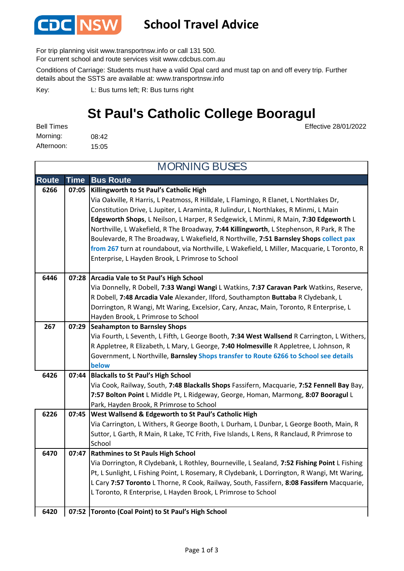

## **School Travel Advice**

For trip planning visit www.transportnsw.info or call 131 500.

For current school and route services visit www.cdcbus.com.au

Conditions of Carriage: Students must have a valid Opal card and must tap on and off every trip. Further details about the SSTS are available at: www.transportnsw.info

L: Bus turns left; R: Bus turns right Key:

## **St Paul's Catholic College Booragul**

Effective 28/01/2022

08:42 15:05 Bell Times Morning: Afternoon:

| <b>MORNING BUSES</b> |             |                                                                                                                                                                                       |  |  |
|----------------------|-------------|---------------------------------------------------------------------------------------------------------------------------------------------------------------------------------------|--|--|
| <b>Route</b>         | <b>Time</b> | <b>Bus Route</b>                                                                                                                                                                      |  |  |
| 6266                 | 07:05       | Killingworth to St Paul's Catholic High                                                                                                                                               |  |  |
|                      |             | Via Oakville, R Harris, L Peatmoss, R Hilldale, L Flamingo, R Elanet, L Northlakes Dr,                                                                                                |  |  |
|                      |             | Constitution Drive, L Jupiter, L Araminta, R Julindur, L Northlakes, R Minmi, L Main                                                                                                  |  |  |
|                      |             | Edgeworth Shops, L Neilson, L Harper, R Sedgewick, L Minmi, R Main, 7:30 Edgeworth L                                                                                                  |  |  |
|                      |             | Northville, L Wakefield, R The Broadway, 7:44 Killingworth, L Stephenson, R Park, R The                                                                                               |  |  |
|                      |             | Boulevarde, R The Broadway, L Wakefield, R Northville, 7:51 Barnsley Shops collect pax<br>from 267 turn at roundabout, via Northville, L Wakefield, L Miller, Macquarie, L Toronto, R |  |  |
|                      |             | Enterprise, L Hayden Brook, L Primrose to School                                                                                                                                      |  |  |
|                      |             |                                                                                                                                                                                       |  |  |
| 6446                 |             | 07:28 Arcadia Vale to St Paul's High School                                                                                                                                           |  |  |
|                      |             | Via Donnelly, R Dobell, 7:33 Wangi Wangi L Watkins, 7:37 Caravan Park Watkins, Reserve,                                                                                               |  |  |
|                      |             | R Dobell, 7:48 Arcadia Vale Alexander, Ilford, Southampton Buttaba R Clydebank, L                                                                                                     |  |  |
|                      |             | Dorrington, R Wangi, Mt Waring, Excelsior, Cary, Anzac, Main, Toronto, R Enterprise, L                                                                                                |  |  |
|                      |             | Hayden Brook, L Primrose to School                                                                                                                                                    |  |  |
| 267                  | 07:29       | <b>Seahampton to Barnsley Shops</b>                                                                                                                                                   |  |  |
|                      |             | Via Fourth, L Seventh, L Fifth, L George Booth, 7:34 West Wallsend R Carrington, L Withers,                                                                                           |  |  |
|                      |             | R Appletree, R Elizabeth, L Mary, L George, 7:40 Holmesville R Appletree, L Johnson, R                                                                                                |  |  |
|                      |             | Government, L Northville, <b>Barnsley Shops transfer to Route 6266 to School see details</b>                                                                                          |  |  |
| 6426                 | 07:44       | below<br><b>Blackalls to St Paul's High School</b>                                                                                                                                    |  |  |
|                      |             | Via Cook, Railway, South, 7:48 Blackalls Shops Fassifern, Macquarie, 7:52 Fennell Bay Bay,                                                                                            |  |  |
|                      |             | 7:57 Bolton Point L Middle Pt, L Ridgeway, George, Homan, Marmong, 8:07 Booragul L                                                                                                    |  |  |
|                      |             | Park, Hayden Brook, R Primrose to School                                                                                                                                              |  |  |
| 6226                 | 07:45       | West Wallsend & Edgeworth to St Paul's Catholic High                                                                                                                                  |  |  |
|                      |             | Via Carrington, L Withers, R George Booth, L Durham, L Dunbar, L George Booth, Main, R                                                                                                |  |  |
|                      |             | Suttor, L Garth, R Main, R Lake, TC Frith, Five Islands, L Rens, R Ranclaud, R Primrose to                                                                                            |  |  |
|                      |             | School                                                                                                                                                                                |  |  |
| 6470                 | 07:47       | <b>Rathmines to St Pauls High School</b>                                                                                                                                              |  |  |
|                      |             | Via Dorrington, R Clydebank, L Rothley, Bourneville, L Sealand, 7:52 Fishing Point L Fishing                                                                                          |  |  |
|                      |             | Pt, L Sunlight, L Fishing Point, L Rosemary, R Clydebank, L Dorrington, R Wangi, Mt Waring,                                                                                           |  |  |
|                      |             | L Cary 7:57 Toronto L Thorne, R Cook, Railway, South, Fassifern, 8:08 Fassifern Macquarie,                                                                                            |  |  |
|                      |             | L Toronto, R Enterprise, L Hayden Brook, L Primrose to School                                                                                                                         |  |  |
| 6420                 |             | 07:52 Toronto (Coal Point) to St Paul's High School                                                                                                                                   |  |  |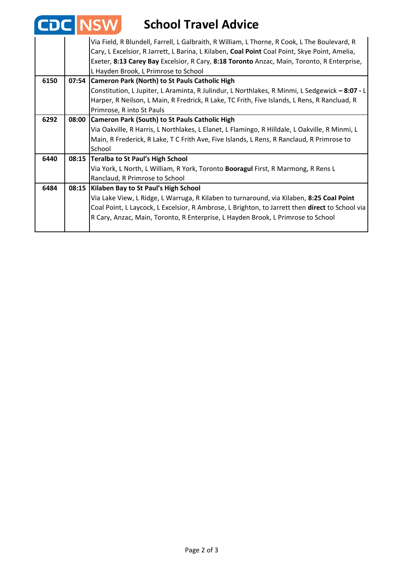| <b>CD</b> | <b>ZINSW</b><br><b>School Travel Advice</b>                                                                                                                                                   |
|-----------|-----------------------------------------------------------------------------------------------------------------------------------------------------------------------------------------------|
|           | Via Field, R Blundell, Farrell, L Galbraith, R William, L Thorne, R Cook, L The Boulevard, R<br>Cary, L Excelsior, R Jarrett, L Barina, L Kilaben, Coal Point Coal Point, Skye Point, Amelia, |
|           | Exeter, 8:13 Carey Bay Excelsior, R Cary, 8:18 Toronto Anzac, Main, Toronto, R Enterprise,<br>L Hayden Brook, L Primrose to School                                                            |
| 6150      | 07:54 Cameron Park (North) to St Pauls Catholic High                                                                                                                                          |
|           | Constitution, L Jupiter, L Araminta, R Julindur, L Northlakes, R Minmi, L Sedgewick - 8:07 - L                                                                                                |
|           | Harper, R Neilson, L Main, R Fredrick, R Lake, TC Frith, Five Islands, L Rens, R Rancluad, R                                                                                                  |
|           | Primrose, R into St Pauls                                                                                                                                                                     |
| 6292      | 08:00 Cameron Park (South) to St Pauls Catholic High                                                                                                                                          |
|           | Via Oakville, R Harris, L Northlakes, L Elanet, L Flamingo, R Hilldale, L Oakville, R Minmi, L                                                                                                |
|           | Main, R Frederick, R Lake, T C Frith Ave, Five Islands, L Rens, R Ranclaud, R Primrose to                                                                                                     |
|           | School                                                                                                                                                                                        |
| 6440      | 08:15 Teralba to St Paul's High School                                                                                                                                                        |
|           | Via York, L North, L William, R York, Toronto Booragul First, R Marmong, R Rens L                                                                                                             |
|           | Ranclaud, R Primrose to School                                                                                                                                                                |
| 6484      | 08:15   Kilaben Bay to St Paul's High School                                                                                                                                                  |
|           | Via Lake View, L Ridge, L Warruga, R Kilaben to turnaround, via Kilaben, 8:25 Coal Point                                                                                                      |
|           | Coal Point, L Laycock, L Excelsior, R Ambrose, L Brighton, to Jarrett then direct to School via                                                                                               |
|           | R Cary, Anzac, Main, Toronto, R Enterprise, L Hayden Brook, L Primrose to School                                                                                                              |

T